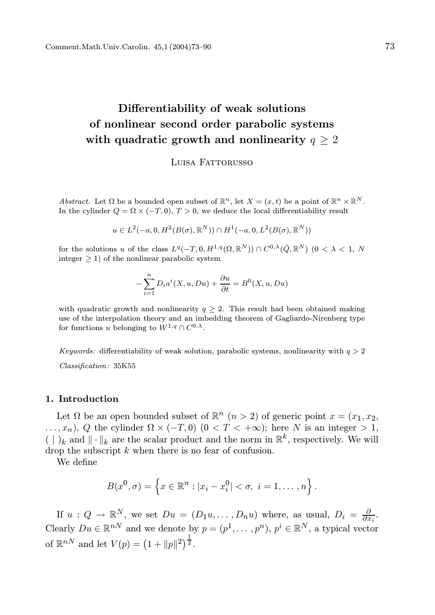# Differentiability of weak solutions of nonlinear second order parabolic systems with quadratic growth and nonlinearity  $q > 2$

Luisa Fattorusso

Abstract. Let  $\Omega$  be a bounded open subset of  $\mathbb{R}^n$ , let  $X = (x, t)$  be a point of  $\mathbb{R}^n \times \mathbb{R}^N$ . In the cylinder  $Q = \Omega \times (-T, 0), T > 0$ , we deduce the local differentiability result

$$
u \in L^2(-a, 0, H^2(B(\sigma), \mathbb{R}^N)) \cap H^1(-a, 0, L^2(B(\sigma), \mathbb{R}^N))
$$

for the solutions u of the class  $L^q(-T, 0, H^{1,q}(\Omega, \mathbb{R}^N)) \cap C^{0,\lambda}(\bar{Q}, \mathbb{R}^N)$   $(0 < \lambda < 1, N)$ integer  $\geq 1$ ) of the nonlinear parabolic system

$$
-\sum_{i=1}^{n} D_i a^i(X, u, Du) + \frac{\partial u}{\partial t} = B^0(X, u, Du)
$$

with quadratic growth and nonlinearity  $q \geq 2$ . This result had been obtained making use of the interpolation theory and an imbedding theorem of Gagliardo-Nirenberg type for functions u belonging to  $W^{1,q} \cap C^{0,\lambda}$ .

Keywords: differentiability of weak solution, parabolic systems, nonlinearity with  $q > 2$ Classification: 35K55

#### 1. Introduction

Let  $\Omega$  be an open bounded subset of  $\mathbb{R}^n$   $(n > 2)$  of generic point  $x = (x_1, x_2,$  $\ldots, x_n$ , Q the cylinder  $\Omega \times (-T, 0)$   $(0 < T < +\infty)$ ; here N is an integer > 1, ( | )<sub>k</sub> and  $\|\cdot\|_k$  are the scalar product and the norm in  $\mathbb{R}^k$ , respectively. We will drop the subscript k when there is no fear of confusion.

We define

$$
B(x^{0}, \sigma) = \left\{ x \in \mathbb{R}^{n} : |x_{i} - x_{i}^{0}| < \sigma, \ i = 1, ..., n \right\}.
$$

If  $u: Q \to \mathbb{R}^N$ , we set  $Du = (D_1u, \dots, D_nu)$  where, as usual,  $D_i = \frac{\partial}{\partial x_i}$ . Clearly  $Du \in \mathbb{R}^{nN}$  and we denote by  $p = (p^1, \dots, p^n)$ ,  $p^i \in \mathbb{R}^N$ , a typical vector of  $\mathbb{R}^{n}$  and let  $V(p) = (1 + ||p||^2)^{\frac{1}{2}}$ .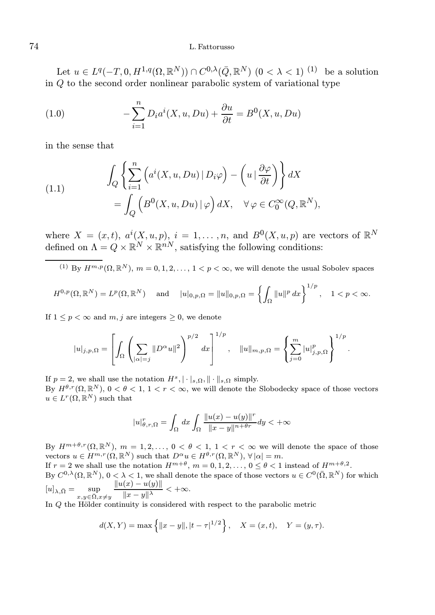Let  $u \in L^q(-T, 0, H^{1,q}(\Omega, \mathbb{R}^N)) \cap C^{0,\lambda}(\bar{Q}, \mathbb{R}^N)$   $(0 < \lambda < 1)$  <sup>(1)</sup> be a solution in  $\overline{Q}$  to the second order nonlinear parabolic system of variational type

(1.0) 
$$
-\sum_{i=1}^{n} D_i a^i(X, u, Du) + \frac{\partial u}{\partial t} = B^0(X, u, Du)
$$

in the sense that

(1.1) 
$$
\int_{Q} \left\{ \sum_{i=1}^{n} \left( a^{i}(X, u, Du) | D_{i}\varphi \right) - \left( u | \frac{\partial \varphi}{\partial t} \right) \right\} dX \n= \int_{Q} \left( B^{0}(X, u, Du) | \varphi \right) dX, \quad \forall \varphi \in C_{0}^{\infty}(Q, \mathbb{R}^{N}),
$$

where  $X = (x, t), a^{i}(X, u, p), i = 1, ..., n$ , and  $B^{0}(X, u, p)$  are vectors of  $\mathbb{R}^{N}$ defined on  $\Lambda = Q \times \mathbb{R}^N \times \mathbb{R}^{n}$ , satisfying the following conditions:

<sup>(1)</sup> By  $H^{m,p}(\Omega,\mathbb{R}^N)$ ,  $m=0,1,2,\ldots, 1 < p < \infty$ , we will denote the usual Sobolev spaces

$$
H^{0,p}(\Omega, \mathbb{R}^N) = L^p(\Omega, \mathbb{R}^N) \quad \text{ and } \quad |u|_{0,p,\Omega} = ||u||_{0,p,\Omega} = \left\{ \int_{\Omega} ||u||^p \, dx \right\}^{1/p}, \quad 1 < p < \infty.
$$

If  $1 \leq p \leq \infty$  and m, j are integers  $\geq 0$ , we denote

$$
|u|_{j,p,\Omega} = \left[ \int_{\Omega} \left( \sum_{|\alpha|=j} \|D^{\alpha}u\|^2 \right)^{p/2} dx \right]^{1/p}, \quad ||u||_{m,p,\Omega} = \left\{ \sum_{j=0}^m |u|_{j,p,\Omega}^p \right\}^{1/p}.
$$

If  $p = 2$ , we shall use the notation  $H^s, |\cdot|_{s,\Omega}, ||\cdot||_{s,\Omega}$  simply. By  $H^{\theta,r}(\Omega,\mathbb{R}^N)$ ,  $0 < \theta < 1$ ,  $1 < r < \infty$ , we will denote the Slobodecky space of those vectors  $u \in L^r(\Omega,\mathbb{R}^N)$  such that

$$
|u|_{\theta,r,\Omega}^r = \int_{\Omega} dx \int_{\Omega} \frac{||u(x) - u(y)||^r}{||x - y||^{n + \theta r}} dy < +\infty
$$

By  $H^{m+\theta,r}(\Omega,\mathbb{R}^N), m = 1,2,\ldots, 0 < \theta < 1, 1 < r < \infty$  we will denote the space of those vectors  $u \in H^{m,r}(\Omega,\mathbb{R}^N)$  such that  $D^{\alpha}u \in H^{\theta,r}(\Omega,\mathbb{R}^N)$ ,  $\forall |\alpha| = m$ .

If  $r = 2$  we shall use the notation  $H^{m+\theta}$ ,  $m = 0, 1, 2, \ldots, 0 \le \theta < 1$  instead of  $H^{m+\theta,2}$ . By  $C^{0,\lambda}(\Omega,\mathbb{R}^N)$ ,  $0<\lambda<1$ , we shall denote the space of those vectors  $u\in C^0(\bar{\Omega},\mathbb{R}^N)$  for which  $[u]_{\lambda,\bar{\Omega}} = \sup_{x,y \in \bar{\Omega}, x \neq y}$  $||u(x) - u(y)||$  $||x-y||^{\lambda}$  $< +\infty$ .

In  $Q$  the Hölder continuity is considered with respect to the parabolic metric

$$
d(X, Y) = \max \{ ||x - y||, |t - \tau|^{1/2} \}, \quad X = (x, t), \quad Y = (y, \tau).
$$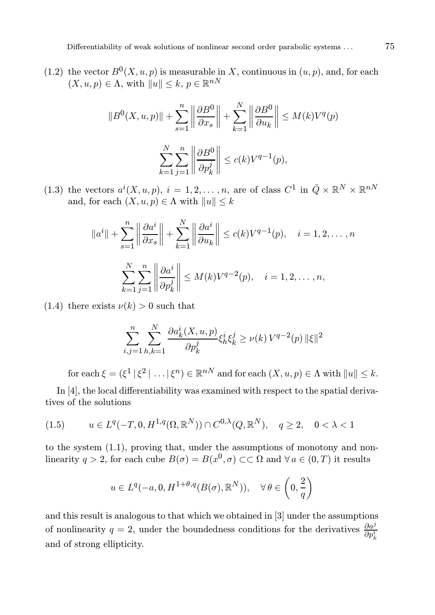(1.2) the vector  $B^0(X, u, p)$  is measurable in X, continuous in  $(u, p)$ , and, for each  $(X, u, p) \in \Lambda$ , with  $||u|| \leq k, p \in \mathbb{R}^{nN}$ 

$$
||B^{0}(X, u, p)|| + \sum_{s=1}^{n} \left\| \frac{\partial B^{0}}{\partial x_{s}} \right\| + \sum_{k=1}^{N} \left\| \frac{\partial B^{0}}{\partial u_{k}} \right\| \le M(k)V^{q}(p)
$$

$$
\sum_{k=1}^{N} \sum_{j=1}^{n} \left\| \frac{\partial B^{0}}{\partial p_{k}^{j}} \right\| \le c(k)V^{q-1}(p),
$$

(1.3) the vectors  $a^{i}(X, u, p), i = 1, 2, ..., n$ , are of class  $C^{1}$  in  $\overline{Q} \times \mathbb{R}^{N} \times \mathbb{R}^{nN}$ and, for each  $(X, u, p) \in \Lambda$  with  $||u|| \leq k$ 

$$
||a^i|| + \sum_{s=1}^n \left\| \frac{\partial a^i}{\partial x_s} \right\| + \sum_{k=1}^N \left\| \frac{\partial a^i}{\partial u_k} \right\| \le c(k)V^{q-1}(p), \quad i = 1, 2, \dots, n
$$

$$
\sum_{k=1}^N \sum_{j=1}^n \left\| \frac{\partial a^i}{\partial p^j_k} \right\| \le M(k)V^{q-2}(p), \quad i = 1, 2, \dots, n,
$$

(1.4) there exists  $\nu(k) > 0$  such that

$$
\sum_{i,j=1}^{n} \sum_{h,k=1}^{N} \frac{\partial a_k^i(X, u, p)}{\partial p_k^j} \xi_h^i \xi_k^j \ge \nu(k) V^{q-2}(p) \, \|\xi\|^2
$$

for each  $\xi = (\xi^1 | \xi^2 | \dots | \xi^n) \in \mathbb{R}^{nN}$  and for each  $(X, u, p) \in \Lambda$  with  $||u|| \leq k$ .

In [4], the local differentiability was examined with respect to the spatial derivatives of the solutions

(1.5) 
$$
u \in L^{q}(-T, 0, H^{1,q}(\Omega, \mathbb{R}^{N})) \cap C^{0,\lambda}(Q, \mathbb{R}^{N}), \quad q \ge 2, \quad 0 < \lambda < 1
$$

to the system (1.1), proving that, under the assumptions of monotony and nonlinearity  $q > 2$ , for each cube  $B(\sigma) = B(x^0, \sigma) \subset\subset \Omega$  and  $\forall a \in (0, T)$  it results

$$
u \in L^{q}(-a, 0, H^{1+\theta, q}(B(\sigma), \mathbb{R}^{N})), \quad \forall \theta \in \left(0, \frac{2}{q}\right)
$$

and this result is analogous to that which we obtained in [3] under the assumptions of nonlinearity  $q = 2$ , under the boundedness conditions for the derivatives  $\frac{\partial a^j}{\partial p_k^i}$ and of strong ellipticity.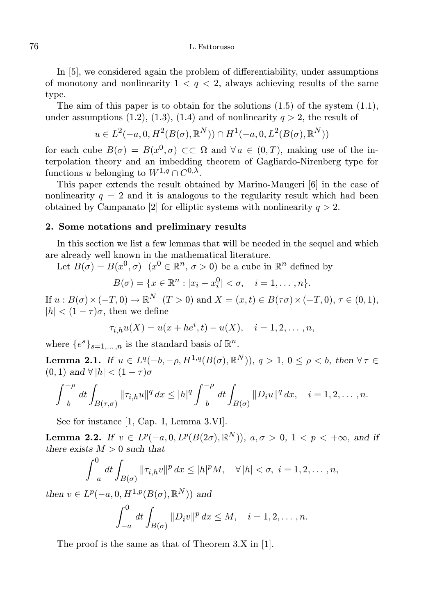In [5], we considered again the problem of differentiability, under assumptions of monotony and nonlinearity  $1 < q < 2$ , always achieving results of the same type.

The aim of this paper is to obtain for the solutions  $(1.5)$  of the system  $(1.1)$ , under assumptions (1.2), (1.3), (1.4) and of nonlinearity  $q > 2$ , the result of

$$
u \in L^2(-a, 0, H^2(B(\sigma), \mathbb{R}^N)) \cap H^1(-a, 0, L^2(B(\sigma), \mathbb{R}^N))
$$

for each cube  $B(\sigma) = B(x^0, \sigma) \subset\subset \Omega$  and  $\forall a \in (0, T)$ , making use of the interpolation theory and an imbedding theorem of Gagliardo-Nirenberg type for functions u belonging to  $W^{1,q} \cap C^{0,\lambda}$ .

This paper extends the result obtained by Marino-Maugeri [6] in the case of nonlinearity  $q = 2$  and it is analogous to the regularity result which had been obtained by Campanato [2] for elliptic systems with nonlinearity  $q > 2$ .

## 2. Some notations and preliminary results

In this section we list a few lemmas that will be needed in the sequel and which are already well known in the mathematical literature.

Let  $B(\sigma) = B(x^0, \sigma)$   $(x^0 \in \mathbb{R}^n, \sigma > 0)$  be a cube in  $\mathbb{R}^n$  defined by

$$
B(\sigma) = \{x \in \mathbb{R}^n : |x_i - x_i^0| < \sigma, \quad i = 1, \dots, n\}.
$$

If  $u : B(\sigma) \times (-T, 0) \to \mathbb{R}^N$   $(T > 0)$  and  $X = (x, t) \in B(\tau \sigma) \times (-T, 0), \tau \in (0, 1),$  $|h| < (1 - \tau)\sigma$ , then we define

$$
\tau_{i,h}u(X) = u(x + he^{i}, t) - u(X), \quad i = 1, 2, \dots, n,
$$

where  $\{e^s\}_{s=1,\ldots,n}$  is the standard basis of  $\mathbb{R}^n$ .

**Lemma 2.1.** If  $u \in L^q(-b, -\rho, H^{1,q}(B(\sigma), \mathbb{R}^N))$ ,  $q > 1$ ,  $0 \le \rho < b$ , then  $\forall \tau \in$  $(0, 1)$  and  $\forall |h| < (1 - \tau)\sigma$ 

$$
\int_{-b}^{-\rho} dt \int_{B(\tau,\sigma)} ||\tau_{i,h}u||^q dx \le |h|^q \int_{-b}^{-\rho} dt \int_{B(\sigma)} ||D_i u||^q dx, \quad i = 1, 2, \dots, n.
$$

See for instance [1, Cap. I, Lemma 3.VI].

**Lemma 2.2.** If  $v \in L^p(-a, 0, L^p(B(2\sigma), \mathbb{R}^N))$ ,  $a, \sigma > 0$ ,  $1 < p < +\infty$ , and if there exists  $M > 0$  such that

$$
\int_{-a}^{0} dt \int_{B(\sigma)} ||\tau_{i,h}v||^{p} dx \leq |h|^{p} M, \quad \forall |h| < \sigma, \ i = 1, 2, \dots, n,
$$

then  $v \in L^p(-a, 0, H^{1,p}(B(\sigma), \mathbb{R}^N))$  and

$$
\int_{-a}^{0} dt \int_{B(\sigma)} \|D_i v\|^p dx \le M, \quad i = 1, 2, \dots, n.
$$

The proof is the same as that of Theorem 3.X in [1].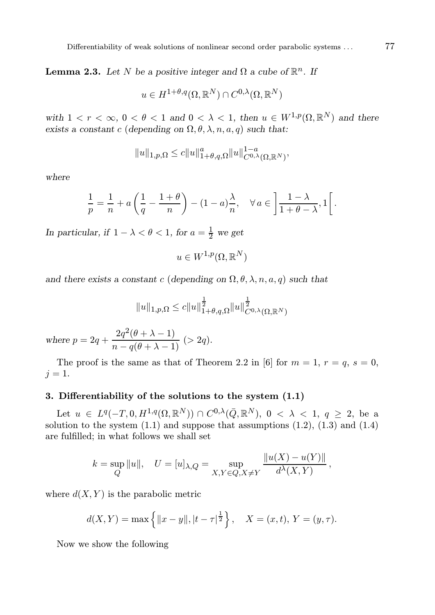**Lemma 2.3.** Let N be a positive integer and  $\Omega$  a cube of  $\mathbb{R}^n$ . If

$$
u \in H^{1+\theta,q}(\Omega,\mathbb{R}^N) \cap C^{0,\lambda}(\Omega,\mathbb{R}^N)
$$

with  $1 < r < \infty$ ,  $0 < \theta < 1$  and  $0 < \lambda < 1$ , then  $u \in W^{1,p}(\Omega,\mathbb{R}^N)$  and there exists a constant c (depending on  $\Omega$ ,  $\theta$ ,  $\lambda$ ,  $n$ ,  $a$ ,  $q$ ) such that:

$$
||u||_{1,p,\Omega} \le c||u||_{1+\theta,q,\Omega}^a||u||_{C^{0,\lambda}(\Omega,\mathbb{R}^N)}^{1-a},
$$

where

$$
\frac{1}{p} = \frac{1}{n} + a\left(\frac{1}{q} - \frac{1+\theta}{n}\right) - (1-a)\frac{\lambda}{n}, \quad \forall a \in \left] \frac{1-\lambda}{1+\theta-\lambda}, 1 \right[.
$$

In particular, if  $1 - \lambda < \theta < 1$ , for  $a = \frac{1}{2}$  we get

$$
u \in W^{1,p}(\Omega, \mathbb{R}^N)
$$

and there exists a constant c (depending on  $\Omega$ ,  $\theta$ ,  $\lambda$ ,  $n$ ,  $a$ ,  $q$ ) such that

$$
\|u\|_{1,p,\Omega}\leq c\|u\|_{1+\theta,q,\Omega}^{\frac{1}{2}}\|u\|_{C^{0,\lambda}(\Omega,\mathbb{R}^N)}^{\frac{1}{2}}
$$

where  $p = 2q + \frac{2q^2(\theta + \lambda - 1)}{n - q(\theta + \lambda - 1)}$  (> 2q).

The proof is the same as that of Theorem 2.2 in [6] for  $m = 1, r = q, s = 0$ ,  $j=1$ .

### 3. Differentiability of the solutions to the system (1.1)

Let  $u \in L^q(-T, 0, H^{1,q}(\Omega, \mathbb{R}^N)) \cap C^{0,\lambda}(\bar{Q}, \mathbb{R}^N), 0 < \lambda < 1, q \geq 2$ , be a solution to the system  $(1.1)$  and suppose that assumptions  $(1.2)$ ,  $(1.3)$  and  $(1.4)$ are fulfilled; in what follows we shall set

$$
k = \sup_{Q} ||u||
$$
,  $U = [u]_{\lambda,Q} = \sup_{X,Y \in Q, X \neq Y} \frac{||u(X) - u(Y)||}{d^{\lambda}(X,Y)},$ 

where  $d(X, Y)$  is the parabolic metric

$$
d(X,Y) = \max \{ ||x - y||, |t - \tau|^{\frac{1}{2}} \}, \quad X = (x,t), Y = (y,\tau).
$$

Now we show the following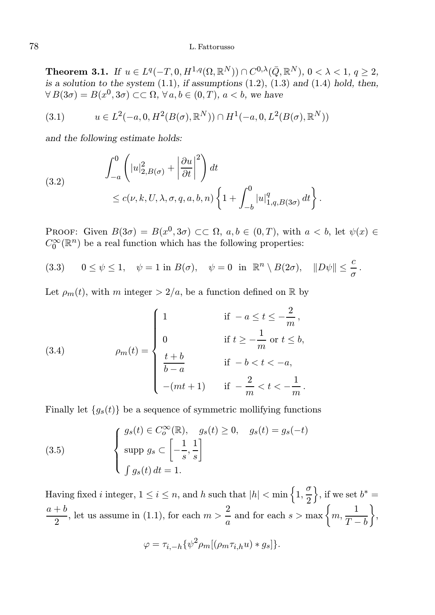Theorem 3.1. If  $u \in L^q(-T, 0, H^{1,q}(\Omega, \mathbb{R}^N)) \cap C^{0,\lambda}(\bar{Q}, \mathbb{R}^N), 0 < \lambda < 1, q \geq 2$ , is a solution to the system  $(1.1)$ , if assumptions  $(1.2)$ ,  $(1.3)$  and  $(1.4)$  hold, then,  $\forall B(3\sigma) = B(x^0, 3\sigma) \subset \subset \Omega$ ,  $\forall a, b \in (0, T)$ ,  $a < b$ , we have

(3.1) 
$$
u \in L^{2}(-a, 0, H^{2}(B(\sigma), \mathbb{R}^{N})) \cap H^{1}(-a, 0, L^{2}(B(\sigma), \mathbb{R}^{N}))
$$

and the following estimate holds:

(3.2) 
$$
\int_{-a}^{0} \left( |u|_{2,B(\sigma)}^{2} + \left| \frac{\partial u}{\partial t} \right|^{2} \right) dt
$$
  
 
$$
\leq c(\nu,k,U,\lambda,\sigma,q,a,b,n) \left\{ 1 + \int_{-b}^{0} |u|_{1,q,B(3\sigma)}^{q} dt \right\}.
$$

PROOF: Given  $B(3\sigma) = B(x^0, 3\sigma) \subset\subset \Omega$ ,  $a, b \in (0, T)$ , with  $a < b$ , let  $\psi(x) \in$  $C_0^\infty({\mathbb R}^{n})$  be a real function which has the following properties:

(3.3) 
$$
0 \le \psi \le 1
$$
,  $\psi = 1$  in  $B(\sigma)$ ,  $\psi = 0$  in  $\mathbb{R}^n \setminus B(2\sigma)$ ,  $||D\psi|| \le \frac{c}{\sigma}$ .

Let  $\rho_m(t)$ , with m integer  $> 2/a$ , be a function defined on R by

(3.4) 
$$
\rho_m(t) = \begin{cases} 1 & \text{if } -a \le t \le -\frac{2}{m}, \\ 0 & \text{if } t \ge -\frac{1}{m} \text{ or } t \le b, \\ \frac{t+b}{b-a} & \text{if } -b < t < -a, \\ -(mt+1) & \text{if } -\frac{2}{m} < t < -\frac{1}{m}. \end{cases}
$$

Finally let  ${g_s(t)}$  be a sequence of symmetric mollifying functions

(3.5) 
$$
\begin{cases} g_s(t) \in C_o^{\infty}(\mathbb{R}), & g_s(t) \ge 0, \quad g_s(t) = g_s(-t) \\ \sup p g_s \subset \left[ -\frac{1}{s}, \frac{1}{s} \right] \\ \int g_s(t) dt = 1. \end{cases}
$$

Having fixed i integer,  $1 \leq i \leq n$ , and h such that  $|h| < \min\left\{1, \frac{\sigma}{2}\right\}$ 2 \, if we set  $b^* =$  $a + b$  $\frac{1+b}{2}$ , let us assume in (1.1), for each  $m > \frac{2}{a}$  $\frac{2}{a}$  and for each  $s > \max\left\{m, \frac{1}{T-m}\right\}$  $T - b$  $\big\}$ 

$$
\varphi = \tau_{i,-h} \{ \psi^2 \rho_m [(\rho_m \tau_{i,h} u) * g_s] \}.
$$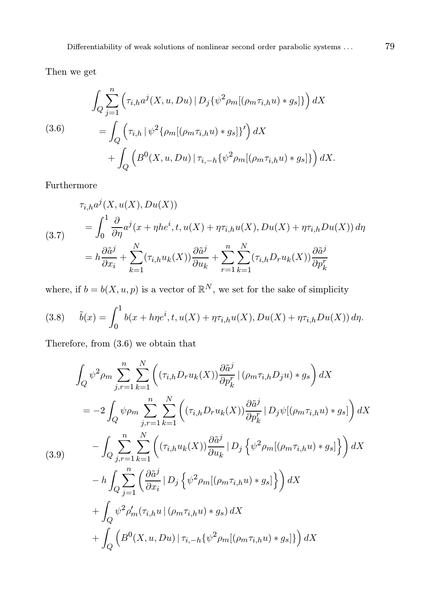Then we get

$$
\int_{Q} \sum_{j=1}^{n} \left( \tau_{i,h} a^{j}(X, u, Du) \mid D_{j} \{ \psi^{2} \rho_{m} [(\rho_{m} \tau_{i,h} u) * g_{s} ] \} \right) dX
$$
\n
$$
= \int_{Q} \left( \tau_{i,h} \mid \psi^{2} \{ \rho_{m} [(\rho_{m} \tau_{i,h} u) * g_{s} ] \}' \right) dX + \int_{Q} \left( B^{0}(X, u, Du) \mid \tau_{i,-h} \{ \psi^{2} \rho_{m} [(\rho_{m} \tau_{i,h} u) * g_{s} ] \} \right) dX.
$$

Furthermore

(3.7)  
\n
$$
\tau_{i,h}a^j(X, u(X), Du(X))
$$
\n
$$
= \int_0^1 \frac{\partial}{\partial \eta} a^j(x + \eta h e^i, t, u(X) + \eta \tau_{i,h} u(X), Du(X) + \eta \tau_{i,h} Du(X)) d\eta
$$
\n
$$
= h \frac{\partial \tilde{a}^j}{\partial x_i} + \sum_{k=1}^N (\tau_{i,h} u_k(X)) \frac{\partial \tilde{a}^j}{\partial u_k} + \sum_{r=1}^n \sum_{k=1}^N (\tau_{i,h} D_r u_k(X)) \frac{\partial \tilde{a}^j}{\partial p_k^r}
$$

where, if  $b = b(X, u, p)$  is a vector of  $\mathbb{R}^N$ , we set for the sake of simplicity

(3.8) 
$$
\tilde{b}(x) = \int_0^1 b(x + h\eta e^i, t, u(X) + \eta \tau_{i,h} u(X), Du(X) + \eta \tau_{i,h} Du(X)) d\eta.
$$

Therefore, from (3.6) we obtain that

$$
\int_{Q} \psi^{2} \rho_{m} \sum_{j,r=1}^{n} \sum_{k=1}^{N} \left( (\tau_{i,h} D_{r} u_{k}(X)) \frac{\partial \tilde{a}^{j}}{\partial p_{k}^{r}} | (\rho_{m} \tau_{i,h} D_{j} u) * g_{s} \right) dX
$$
  
\n
$$
= -2 \int_{Q} \psi \rho_{m} \sum_{j,r=1}^{n} \sum_{k=1}^{N} \left( (\tau_{i,h} D_{r} u_{k}(X)) \frac{\partial \tilde{a}^{j}}{\partial p_{k}^{r}} | D_{j} \psi | (\rho_{m} \tau_{i,h} u) * g_{s} \right) dX
$$
  
\n
$$
- \int_{Q} \sum_{j,r=1}^{n} \sum_{k=1}^{N} \left( (\tau_{i,h} u_{k}(X)) \frac{\partial \tilde{a}^{j}}{\partial u_{k}} | D_{j} \left\{ \psi^{2} \rho_{m} [(\rho_{m} \tau_{i,h} u) * g_{s}] \right\} \right) dX
$$
  
\n
$$
- h \int_{Q} \sum_{j=1}^{n} \left( \frac{\partial \tilde{a}^{j}}{\partial x_{i}} | D_{j} \left\{ \psi^{2} \rho_{m} [(\rho_{m} \tau_{i,h} u) * g_{s}] \right\} \right) dX
$$
  
\n
$$
+ \int_{Q} \psi^{2} \rho'_{m} (\tau_{i,h} u | (\rho_{m} \tau_{i,h} u) * g_{s}) dX
$$
  
\n
$$
+ \int_{Q} \left( B^{0}(X, u, Du) | \tau_{i,-h} \left\{ \psi^{2} \rho_{m} [(\rho_{m} \tau_{i,h} u) * g_{s}] \right\} \right) dX
$$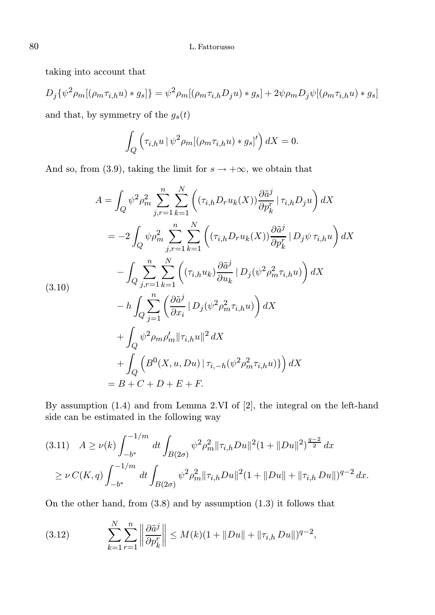taking into account that

$$
D_j\{\psi^2\rho_m[(\rho_m\tau_{i,h}u)*g_s]\} = \psi^2\rho_m[(\rho_m\tau_{i,h}D_ju)*g_s] + 2\psi\rho_mD_j\psi[(\rho_m\tau_{i,h}u)*g_s]
$$

and that, by symmetry of the  $g_s(t)$ 

$$
\int_{Q} \left( \tau_{i,h} u \, | \, \psi^2 \rho_m [(\rho_m \tau_{i,h} u) * g_s]' \right) dX = 0.
$$

And so, from (3.9), taking the limit for  $s \to +\infty$ , we obtain that

$$
A = \int_{Q} \psi^{2} \rho_{m}^{2} \sum_{j,r=1}^{n} \sum_{k=1}^{N} \left( (\tau_{i,h} D_{r} u_{k}(X)) \frac{\partial \tilde{a}^{j}}{\partial p_{k}^{r}} | \tau_{i,h} D_{j} u \right) dX
$$
  
\n
$$
= -2 \int_{Q} \psi \rho_{m}^{2} \sum_{j,r=1}^{n} \sum_{k=1}^{N} \left( (\tau_{i,h} D_{r} u_{k}(X)) \frac{\partial \tilde{a}^{j}}{\partial p_{k}^{r}} | D_{j} \psi \tau_{i,h} u \right) dX
$$
  
\n
$$
- \int_{Q} \sum_{j,r=1}^{n} \sum_{k=1}^{N} \left( (\tau_{i,h} u_{k}) \frac{\partial \tilde{a}^{j}}{\partial u_{k}} | D_{j} (\psi^{2} \rho_{m}^{2} \tau_{i,h} u) \right) dX
$$
  
\n
$$
- h \int_{Q} \sum_{j=1}^{n} \left( \frac{\partial \tilde{a}^{j}}{\partial x_{i}} | D_{j} (\psi^{2} \rho_{m}^{2} \tau_{i,h} u) \right) dX
$$
  
\n
$$
+ \int_{Q} \psi^{2} \rho_{m} \rho_{m}' || \tau_{i,h} u ||^{2} dX
$$
  
\n
$$
+ \int_{Q} \left( B^{0}(X, u, Du) | \tau_{i,-h} (\psi^{2} \rho_{m}^{2} \tau_{i,h} u) \right) dX
$$
  
\n
$$
= B + C + D + E + F.
$$

By assumption (1.4) and from Lemma 2.VI of [2], the integral on the left-hand side can be estimated in the following way

$$
(3.11) \quad A \ge \nu(k) \int_{-b^*}^{-1/m} dt \int_{B(2\sigma)} \psi^2 \rho_m^2 ||\tau_{i,h} Du||^2 (1 + ||Du||^2)^{\frac{q-2}{2}} dx
$$
  
 
$$
\ge \nu C(K, q) \int_{-b^*}^{-1/m} dt \int_{B(2\sigma)} \psi^2 \rho_m^2 ||\tau_{i,h} Du||^2 (1 + ||Du|| + ||\tau_{i,h} Du||)^{q-2} dx.
$$

On the other hand, from (3.8) and by assumption (1.3) it follows that

(3.12) 
$$
\sum_{k=1}^{N} \sum_{r=1}^{n} \left\| \frac{\partial \tilde{a}^{j}}{\partial p_{k}^{r}} \right\| \leq M(k)(1 + \|Du\| + \|\tau_{i,h} Du\|)^{q-2},
$$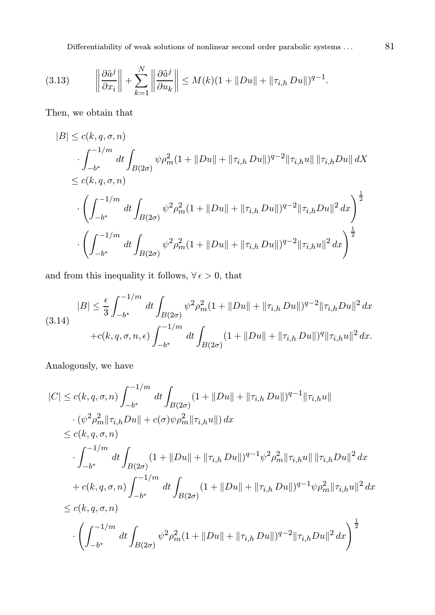Differentiability of weak solutions of nonlinear second order parabolic systems . . .  $81$ 

$$
(3.13) \qquad \left\|\frac{\partial \tilde{a}^j}{\partial x_i}\right\| + \sum_{k=1}^N \left\|\frac{\partial \tilde{a}^j}{\partial u_k}\right\| \le M(k)(1 + \|Du\| + \|\tau_{i,h} Du\|)^{q-1}.
$$

Then, we obtain that

$$
|B| \le c(k, q, \sigma, n)
$$
  
\n
$$
\int_{-b^*}^{-1/m} dt \int_{B(2\sigma)} \psi \rho_m^2 (1 + ||Du|| + ||\tau_{i,h} Du||)^{q-2} ||\tau_{i,h} u|| ||\tau_{i,h} Du|| dX
$$
  
\n
$$
\le c(k, q, \sigma, n)
$$
  
\n
$$
\cdot \left( \int_{-b^*}^{-1/m} dt \int_{B(2\sigma)} \psi^2 \rho_m^2 (1 + ||Du|| + ||\tau_{i,h} Du||)^{q-2} ||\tau_{i,h} Du||^2 dx \right)^{\frac{1}{2}}
$$
  
\n
$$
\cdot \left( \int_{-b^*}^{-1/m} dt \int_{B(2\sigma)} \psi^2 \rho_m^2 (1 + ||Du|| + ||\tau_{i,h} Du||)^{q-2} ||\tau_{i,h} u||^2 dx \right)^{\frac{1}{2}}
$$

and from this inequality it follows,  $\forall \epsilon > 0$ , that

$$
|B| \leq \frac{\epsilon}{3} \int_{-b^*}^{-1/m} dt \int_{B(2\sigma)} \psi^2 \rho_m^2 (1 + \|Du\| + \|\tau_{i,h} Du\|)^{q-2} \|\tau_{i,h} Du\|^2 dx
$$
  

$$
+ c(k, q, \sigma, n, \epsilon) \int_{-b^*}^{-1/m} dt \int_{B(2\sigma)} (1 + \|Du\| + \|\tau_{i,h} Du\|)^q \|\tau_{i,h} u\|^2 dx.
$$

Analogously, we have

$$
|C| \le c(k, q, \sigma, n) \int_{-b^{*}}^{-1/m} dt \int_{B(2\sigma)} (1 + ||Du|| + ||\tau_{i,h} Du||)^{q-1} ||\tau_{i,h} u||
$$
  
\n
$$
\cdot (\psi^{2} \rho_{m}^{2} ||\tau_{i,h} Du|| + c(\sigma) \psi \rho_{m}^{2} ||\tau_{i,h} u||) dx
$$
  
\n
$$
\le c(k, q, \sigma, n)
$$
  
\n
$$
\cdot \int_{-b^{*}}^{-1/m} dt \int_{B(2\sigma)} (1 + ||Du|| + ||\tau_{i,h} Du||)^{q-1} \psi^{2} \rho_{m}^{2} ||\tau_{i,h} u|| ||\tau_{i,h} Du||^{2} dx
$$
  
\n
$$
+ c(k, q, \sigma, n) \int_{-b^{*}}^{-1/m} dt \int_{B(2\sigma)} (1 + ||Du|| + ||\tau_{i,h} Du||)^{q-1} \psi \rho_{m}^{2} ||\tau_{i,h} u||^{2} dx
$$
  
\n
$$
\le c(k, q, \sigma, n)
$$
  
\n
$$
\cdot \left( \int_{-b^{*}}^{-1/m} dt \int_{B(2\sigma)} \psi^{2} \rho_{m}^{2} (1 + ||Du|| + ||\tau_{i,h} Du||)^{q-2} ||\tau_{i,h} Du||^{2} dx \right)^{\frac{1}{2}}
$$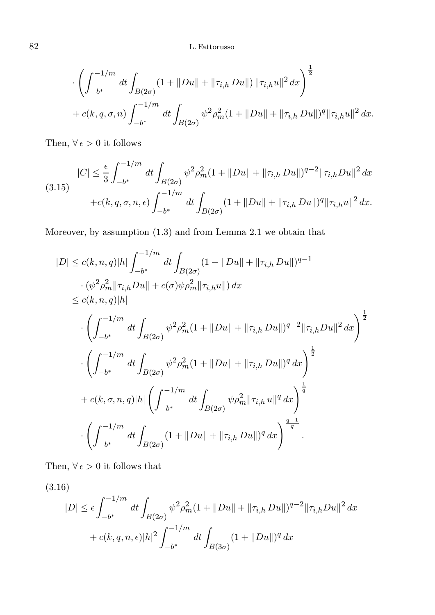$$
\cdot \left( \int_{-b^*}^{-1/m} dt \int_{B(2\sigma)} (1 + ||Du|| + ||\tau_{i,h} Du||) ||\tau_{i,h} u||^2 dx \right)^{\frac{1}{2}} + c(k, q, \sigma, n) \int_{-b^*}^{-1/m} dt \int_{B(2\sigma)} \psi^2 \rho_m^2 (1 + ||Du|| + ||\tau_{i,h} Du||)^q ||\tau_{i,h} u||^2 dx.
$$

Then,  $\forall \epsilon > 0$  it follows

$$
|C| \leq \frac{\epsilon}{3} \int_{-b^*}^{-1/m} dt \int_{B(2\sigma)} \psi^2 \rho_m^2 (1 + \|Du\| + \|\tau_{i,h} Du\|)^{q-2} \|\tau_{i,h} Du\|^2 dx
$$
  
(3.15)  

$$
+ c(k, q, \sigma, n, \epsilon) \int_{-b^*}^{-1/m} dt \int_{B(2\sigma)} (1 + \|Du\| + \|\tau_{i,h} Du\|)^q \|\tau_{i,h} u\|^2 dx.
$$

Moreover, by assumption (1.3) and from Lemma 2.1 we obtain that

$$
|D| \le c(k, n, q)|h| \int_{-b^*}^{-1/m} dt \int_{B(2\sigma)} (1 + ||Du|| + ||\tau_{i,h} Du||)^{q-1}
$$
  
\n
$$
\cdot (\psi^2 \rho_m^2 ||\tau_{i,h} Du|| + c(\sigma) \psi \rho_m^2 ||\tau_{i,h} u||) dx
$$
  
\n
$$
\le c(k, n, q)|h|
$$
  
\n
$$
\cdot \left( \int_{-b^*}^{-1/m} dt \int_{B(2\sigma)} \psi^2 \rho_m^2 (1 + ||Du|| + ||\tau_{i,h} Du||)^{q-2} ||\tau_{i,h} Du||^2 dx \right)^{\frac{1}{2}}
$$
  
\n
$$
\cdot \left( \int_{-b^*}^{-1/m} dt \int_{B(2\sigma)} \psi^2 \rho_m^2 (1 + ||Du|| + ||\tau_{i,h} Du||)^q dx \right)^{\frac{1}{2}}
$$
  
\n
$$
+ c(k, \sigma, n, q)|h| \left( \int_{-b^*}^{-1/m} dt \int_{B(2\sigma)} \psi \rho_m^2 ||\tau_{i,h} u||^q dx \right)^{\frac{1}{q}}
$$
  
\n
$$
\cdot \left( \int_{-b^*}^{-1/m} dt \int_{B(2\sigma)} (1 + ||Du|| + ||\tau_{i,h} Du||)^q dx \right)^{\frac{q-1}{q}}.
$$

Then,  $\forall\,\epsilon>0$  it follows that

(3.16)

$$
|D| \le \epsilon \int_{-b^*}^{-1/m} dt \int_{B(2\sigma)} \psi^2 \rho_m^2 (1 + ||Du|| + ||\tau_{i,h} Du||)^{q-2} ||\tau_{i,h} Du||^2 dx
$$
  
+  $c(k, q, n, \epsilon) |h|^2 \int_{-b^*}^{-1/m} dt \int_{B(3\sigma)} (1 + ||Du||)^q dx$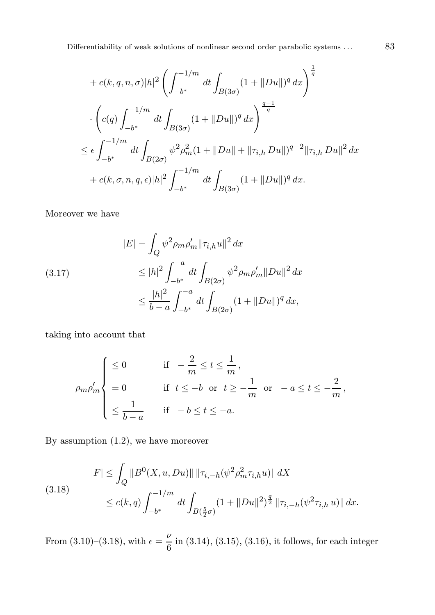Differentiability of weak solutions of nonlinear second order parabolic systems . . . 83

$$
+ c(k, q, n, \sigma)|h|^{2} \left( \int_{-b^{*}}^{-1/m} dt \int_{B(3\sigma)} (1 + ||Du||)^{q} dx \right)^{\frac{1}{q}}
$$
  

$$
\cdot \left( c(q) \int_{-b^{*}}^{-1/m} dt \int_{B(3\sigma)} (1 + ||Du||)^{q} dx \right)^{\frac{q-1}{q}}
$$
  

$$
\leq \epsilon \int_{-b^{*}}^{-1/m} dt \int_{B(2\sigma)} \psi^{2} \rho_{m}^{2} (1 + ||Du|| + ||\tau_{i,h} Du||)^{q-2} ||\tau_{i,h} Du||^{2} dx
$$
  

$$
+ c(k, \sigma, n, q, \epsilon) |h|^{2} \int_{-b^{*}}^{-1/m} dt \int_{B(3\sigma)} (1 + ||Du||)^{q} dx.
$$

Moreover we have

(3.17) 
$$
|E| = \int_{Q} \psi^{2} \rho_{m} \rho'_{m} ||\tau_{i,h}u||^{2} dx
$$

$$
\leq |h|^{2} \int_{-b^{*}}^{-a} dt \int_{B(2\sigma)} \psi^{2} \rho_{m} \rho'_{m} ||Du||^{2} dx
$$

$$
\leq \frac{|h|^{2}}{b-a} \int_{-b^{*}}^{-a} dt \int_{B(2\sigma)} (1 + ||Du||)^{q} dx,
$$

taking into account that

$$
\rho_m \rho_m' \begin{cases} \leq 0 & \text{if } -\frac{2}{m} \leq t \leq \frac{1}{m}, \\ = 0 & \text{if } t \leq -b \text{ or } t \geq -\frac{1}{m} \text{ or } -a \leq t \leq -\frac{2}{m}, \\ \leq \frac{1}{b-a} & \text{if } -b \leq t \leq -a. \end{cases}
$$

By assumption (1.2), we have moreover

$$
|F| \leq \int_{Q} \|B^{0}(X, u, Du)\| \|\tau_{i,-h}(\psi^{2}\rho_{m}^{2}\tau_{i,h}u)\| \, dX
$$
\n
$$
\leq c(k,q) \int_{-b^{*}}^{-1/m} dt \int_{B(\frac{5}{2}\sigma)} (1 + \|Du\|^{2})^{\frac{q}{2}} \|\tau_{i,-h}(\psi^{2}\tau_{i,h}u)\| \, dx.
$$

From (3.10)–(3.18), with  $\epsilon = \frac{\nu}{c}$  $\frac{1}{6}$  in (3.14), (3.15), (3.16), it follows, for each integer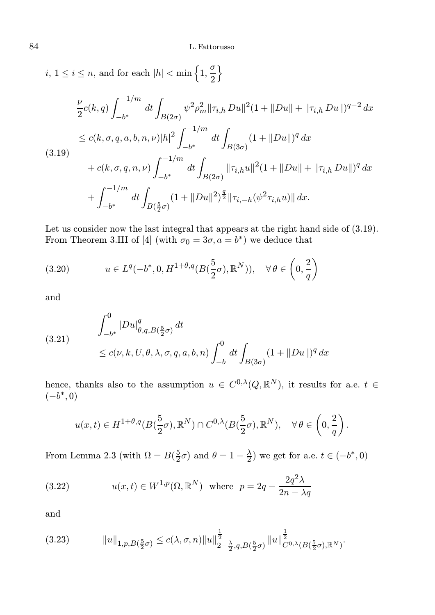i,  $1 \leq i \leq n$ , and for each  $|h| < \min\left\{1, \frac{\sigma}{2}\right\}$ 2 o

$$
\frac{\nu}{2}c(k,q)\int_{-b^{*}}^{-1/m}dt\int_{B(2\sigma)}\psi^{2}\rho_{m}^{2}\|\tau_{i,h}Du\|^{2}(1+\|Du\|+\|\tau_{i,h}Du\|)^{q-2}dx
$$
  
\n
$$
\leq c(k,\sigma,q,a,b,n,\nu)|h|^{2}\int_{-b^{*}}^{-1/m}dt\int_{B(3\sigma)}(1+\|Du\|)^{q}dx
$$
  
\n(3.19)  
\n
$$
+c(k,\sigma,q,n,\nu)\int_{-b^{*}}^{-1/m}dt\int_{B(2\sigma)}\|\tau_{i,h}u\|^{2}(1+\|Du\|+\|\tau_{i,h}Du\|)^{q}dx
$$
  
\n
$$
+\int_{-b^{*}}^{-1/m}dt\int_{B(\frac{5}{2}\sigma)}(1+\|Du\|^{2})^{\frac{q}{2}}\|\tau_{i,-h}(\psi^{2}\tau_{i,h}u)\|dx.
$$

Let us consider now the last integral that appears at the right hand side of (3.19). From Theorem 3.III of [4] (with  $\sigma_0 = 3\sigma, a = b^*$ ) we deduce that

(3.20) 
$$
u \in L^{q}(-b^*, 0, H^{1+\theta,q}(B(\frac{5}{2}\sigma), \mathbb{R}^N)), \quad \forall \theta \in \left(0, \frac{2}{q}\right)
$$

and

(3.21) 
$$
\int_{-b^{*}}^{0} |Du|_{\theta,q,B(\frac{5}{2}\sigma)}^{q} dt
$$
  
 
$$
\leq c(\nu,k,U,\theta,\lambda,\sigma,q,a,b,n) \int_{-b}^{0} dt \int_{B(3\sigma)} (1+||Du||)^{q} dx
$$

hence, thanks also to the assumption  $u \in C^{0,\lambda}(Q,\mathbb{R}^N)$ , it results for a.e.  $t \in$  $(-b^*,0)$ 

$$
u(x,t) \in H^{1+\theta,q}(B(\frac{5}{2}\sigma),\mathbb{R}^N) \cap C^{0,\lambda}(B(\frac{5}{2}\sigma),\mathbb{R}^N), \quad \forall \theta \in \left(0,\frac{2}{q}\right).
$$

From Lemma 2.3 (with  $\Omega = B(\frac{5}{2}\sigma)$  and  $\theta = 1 - \frac{\lambda}{2}$ ) we get for a.e.  $t \in (-b^*, 0)$ 

(3.22) 
$$
u(x,t) \in W^{1,p}(\Omega, \mathbb{R}^N) \text{ where } p = 2q + \frac{2q^2\lambda}{2n - \lambda q}
$$

and

(3.23) kuk1,p,B( 5 2 <sup>σ</sup>) ≤ c(λ, σ, n)kuk 1 2 2− <sup>λ</sup> 2 ,q,B( 5 2 σ) kuk 1 2 C0,λ(B( 5 2 σ),R<sup>N</sup> ) .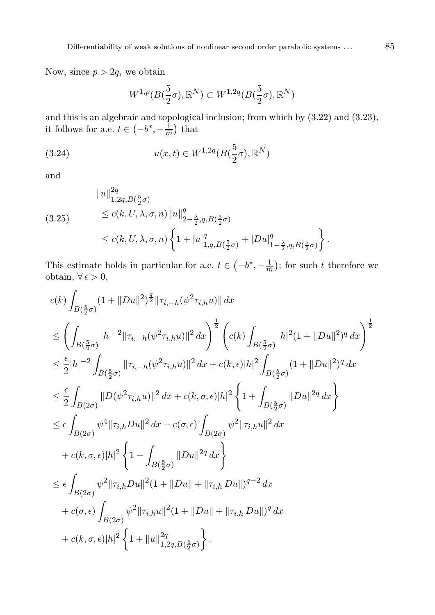Now, since  $p > 2q$ , we obtain

$$
W^{1,p}(B(\frac{5}{2}\sigma),\mathbb{R}^N) \subset W^{1,2q}(B(\frac{5}{2}\sigma),\mathbb{R}^N)
$$

and this is an algebraic and topological inclusion; from which by (3.22) and (3.23), it follows for a.e.  $t \in \left(-b^*, -\frac{1}{m}\right)$  that

(3.24) 
$$
u(x,t) \in W^{1,2q}(B(\frac{5}{2}\sigma),\mathbb{R}^N)
$$

and

$$
\|u\|_{1,2q,B(\frac{5}{2}\sigma)}^{2q}
$$
  
(3.25) 
$$
\leq c(k,U,\lambda,\sigma,n) \|u\|_{2-\frac{\lambda}{2},q,B(\frac{5}{2}\sigma)}^{q}
$$
  

$$
\leq c(k,U,\lambda,\sigma,n) \left\{1+|u|_{1,q,B(\frac{5}{2}\sigma)}^{q}+|Du|_{1-\frac{\lambda}{2},q,B(\frac{5}{2}\sigma)}^{q}\right\}
$$

This estimate holds in particular for a.e.  $t \in \left(-b^*, -\frac{1}{m}\right)$ ; for such t therefore we obtain,  $\forall \epsilon > 0$ ,

$$
c(k)\int_{B(\frac{5}{2}\sigma)}(1+||Du||^{2})^{\frac{q}{2}}||\tau_{i,-h}(\psi^{2}\tau_{i,h}u)|| dx
$$
  
\n
$$
\leq \left(\int_{B(\frac{5}{2}\sigma)}|h|^{-2}||\tau_{i,-h}(\psi^{2}\tau_{i,h}u)||^{2} dx\right)^{\frac{1}{2}} \left(c(k)\int_{B(\frac{5}{2}\sigma)}|h|^{2}(1+||Du||^{2})^{q} dx\right)^{\frac{1}{2}}
$$
  
\n
$$
\leq \frac{\epsilon}{2}|h|^{-2}\int_{B(\frac{5}{2}\sigma)}||\tau_{i,-h}(\psi^{2}\tau_{i,h}u)||^{2} dx + c(k,\epsilon)|h|^{2}\int_{B(\frac{5}{2}\sigma)}(1+||Du||^{2})^{q} dx
$$
  
\n
$$
\leq \frac{\epsilon}{2}\int_{B(2\sigma)}||D(\psi^{2}\tau_{i,h}u)||^{2} dx + c(k,\sigma,\epsilon)|h|^{2}\left\{1+\int_{B(\frac{5}{2}\sigma)}||Du||^{2q} dx\right\}
$$
  
\n
$$
\leq \epsilon \int_{B(2\sigma)}\psi^{4}||\tau_{i,h}Du||^{2} dx + c(\sigma,\epsilon)\int_{B(2\sigma)}\psi^{2}||\tau_{i,h}u||^{2} dx
$$
  
\n
$$
+ c(k,\sigma,\epsilon)|h|^{2}\left\{1+\int_{B(\frac{5}{2}\sigma)}||Du||^{2q} dx\right\}
$$
  
\n
$$
\leq \epsilon \int_{B(2\sigma)}\psi^{2}||\tau_{i,h}Du||^{2}(1+||Du||+||\tau_{i,h}Du||)^{q-2} dx
$$
  
\n
$$
+ c(\sigma,\epsilon)\int_{B(2\sigma)}\psi^{2}||\tau_{i,h}u||^{2}(1+||Du||+||\tau_{i,h}Du||)^{q} dx
$$
  
\n
$$
+ c(k,\sigma,\epsilon)|h|^{2}\left\{1+\|u\|_{1,2q,B(\frac{5}{2}\sigma)}^{2q}\right\}.
$$

.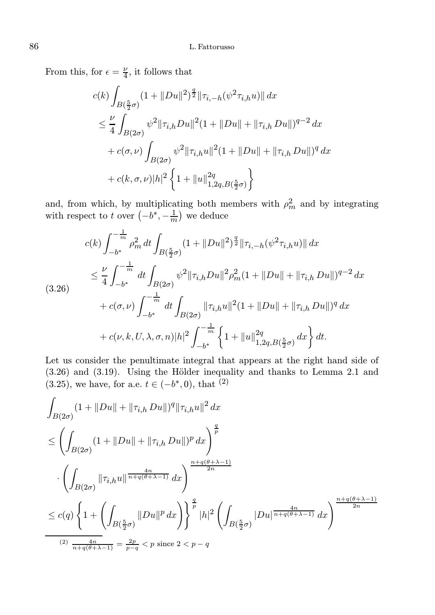From this, for  $\epsilon = \frac{\nu}{4}$ , it follows that

$$
c(k)\int_{B(\frac{5}{2}\sigma)}(1+||Du||^{2})^{\frac{q}{2}}||\tau_{i,-h}(\psi^{2}\tau_{i,h}u)|| dx
$$
  
\n
$$
\leq \frac{\nu}{4}\int_{B(2\sigma)}\psi^{2}||\tau_{i,h}Du||^{2}(1+||Du||+||\tau_{i,h}Du||)^{q-2} dx
$$
  
\n
$$
+c(\sigma,\nu)\int_{B(2\sigma)}\psi^{2}||\tau_{i,h}u||^{2}(1+||Du||+||\tau_{i,h}Du||)^{q} dx
$$
  
\n
$$
+c(k,\sigma,\nu)|h|^{2}\left\{1+||u||_{1,2q,B(\frac{5}{2}\sigma)}^{2}\right\}
$$

and, from which, by multiplicating both members with  $\rho_m^2$  and by integrating with respect to t over  $(-b^*, -\frac{1}{m})$  we deduce

$$
c(k) \int_{-b^{*}}^{-\frac{1}{m}} \rho_{m}^{2} dt \int_{B(\frac{5}{2}\sigma)} (1 + \|Du\|^{2})^{\frac{q}{2}} \|\tau_{i,-h}(\psi^{2}\tau_{i,h}u)\| dx
$$
  
\n
$$
\leq \frac{\nu}{4} \int_{-b^{*}}^{-\frac{1}{m}} dt \int_{B(2\sigma)} \psi^{2} \|\tau_{i,h}Du\|^{2} \rho_{m}^{2} (1 + \|Du\| + \|\tau_{i,h}Du\|)^{q-2} dx
$$
  
\n
$$
+ c(\sigma, \nu) \int_{-b^{*}}^{-\frac{1}{m}} dt \int_{B(2\sigma)} \|\tau_{i,h}u\|^{2} (1 + \|Du\| + \|\tau_{i,h}Du\|)^{q} dx
$$
  
\n
$$
+ c(\nu, k, U, \lambda, \sigma, n)|h|^{2} \int_{-b^{*}}^{-\frac{1}{m}} \left\{ 1 + \|u\|_{1,2q, B(\frac{5}{2}\sigma)}^{2q} dx \right\} dt.
$$

Let us consider the penultimate integral that appears at the right hand side of  $(3.26)$  and  $(3.19)$ . Using the Hölder inequality and thanks to Lemma 2.1 and  $(3.25)$ , we have, for a.e.  $t \in (-b^*, 0)$ , that  $(2)$ 

$$
\int_{B(2\sigma)} (1 + ||Du|| + ||\tau_{i,h} Du||)^{q} ||\tau_{i,h} u||^{2} dx
$$
\n
$$
\leq \left( \int_{B(2\sigma)} (1 + ||Du|| + ||\tau_{i,h} Du||)^{p} dx \right)^{\frac{q}{p}}
$$
\n
$$
\cdot \left( \int_{B(2\sigma)} ||\tau_{i,h} u||^{\frac{4n}{n+q(\theta+\lambda-1)}} dx \right)^{\frac{n+q(\theta+\lambda-1)}{2n}}
$$
\n
$$
\leq c(q) \left\{ 1 + \left( \int_{B(\frac{5}{2}\sigma)} ||Du||^{p} dx \right) \right\}^{\frac{q}{p}} |h|^{2} \left( \int_{B(\frac{5}{2}\sigma)} |Du|^{\frac{4n}{n+q(\theta+\lambda-1)}} dx \right)^{\frac{n+q(\theta+\lambda-1)}{2n}}
$$
\n
$$
\xrightarrow[(2) \frac{4n}{n+q(\theta+\lambda-1)}] = \frac{2p}{p-q} < p \text{ since } 2 < p-q
$$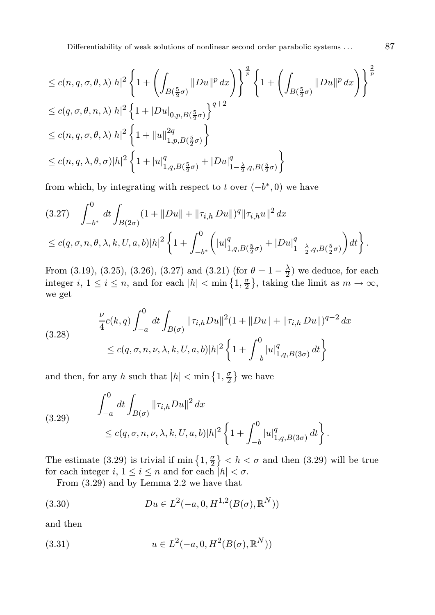Differentiability of weak solutions of nonlinear second order parabolic systems . . . 87

$$
\leq c(n, q, \sigma, \theta, \lambda)|h|^{2} \left\{ 1 + \left( \int_{B(\frac{5}{2}\sigma)} ||Du||^{p} dx \right) \right\}^{\frac{q}{p}} \left\{ 1 + \left( \int_{B(\frac{5}{2}\sigma)} ||Du||^{p} dx \right) \right\}^{\frac{2}{p}}
$$
  
\n
$$
\leq c(q, \sigma, \theta, n, \lambda)|h|^{2} \left\{ 1 + |Du|_{0, p, B(\frac{5}{2}\sigma)} \right\}^{q+2}
$$
  
\n
$$
\leq c(n, q, \sigma, \theta, \lambda)|h|^{2} \left\{ 1 + ||u||_{1, p, B(\frac{5}{2}\sigma)}^{2q} \right\}
$$
  
\n
$$
\leq c(n, q, \lambda, \theta, \sigma)|h|^{2} \left\{ 1 + |u|_{1, q, B(\frac{5}{2}\sigma)}^{q} + |Du|_{1-\frac{\lambda}{2}, q, B(\frac{5}{2}\sigma)}^{q} \right\}
$$

from which, by integrating with respect to t over  $(-b^*, 0)$  we have

$$
(3.27) \quad \int_{-b^*}^0 dt \int_{B(2\sigma)} (1+||Du|| + ||\tau_{i,h} Du||)^q ||\tau_{i,h} u||^2 dx
$$
  

$$
\leq c(q, \sigma, n, \theta, \lambda, k, U, a, b) |h|^2 \left\{ 1 + \int_{-b^*}^0 \left( |u|_{1,q,B(\frac{5}{2}\sigma)}^q + |Du|_{1-\frac{\lambda}{2},q,B(\frac{5}{2}\sigma)}^q \right) dt \right\}.
$$

From (3.19), (3.25), (3.26), (3.27) and (3.21) (for  $\theta = 1 - \frac{\lambda}{2}$ ) we deduce, for each integer *i*,  $1 \le i \le n$ , and for each  $|h| < \min\left\{1, \frac{\sigma}{2}\right\}$ , taking the limit as  $m \to \infty$ , we get

$$
(3.28) \quad \frac{\nu}{4}c(k,q)\int_{-a}^{0}dt\int_{B(\sigma)}\|\tau_{i,h}Du\|^2(1+\|Du\|+\|\tau_{i,h}Du\|)^{q-2}dx
$$

$$
\leq c(q,\sigma,n,\nu,\lambda,k,U,a,b)|h|^2\left\{1+\int_{-b}^{0}|u|_{1,q,B(3\sigma)}^q dt\right\}
$$

and then, for any h such that  $|h| < \min\left\{1, \frac{\sigma}{2}\right\}$  we have

(3.29) 
$$
\int_{-a}^{0} dt \int_{B(\sigma)} ||\tau_{i,h}Du||^{2} dx
$$
  
 
$$
\leq c(q,\sigma,n,\nu,\lambda,k,U,a,b)|h|^{2} \left\{1 + \int_{-b}^{0} |u|_{1,q,B(3\sigma)}^{q} dt\right\}.
$$

The estimate (3.29) is trivial if  $\min\left\{1,\frac{\sigma}{2}\right\} < h < \sigma$  and then (3.29) will be true for each integer  $i, 1 \leq i \leq n$  and for each  $|h| < \sigma$ .

From (3.29) and by Lemma 2.2 we have that

(3.30) 
$$
Du \in L^2(-a, 0, H^{1,2}(B(\sigma), \mathbb{R}^N))
$$

and then

(3.31) 
$$
u \in L^{2}(-a, 0, H^{2}(B(\sigma), \mathbb{R}^{N}))
$$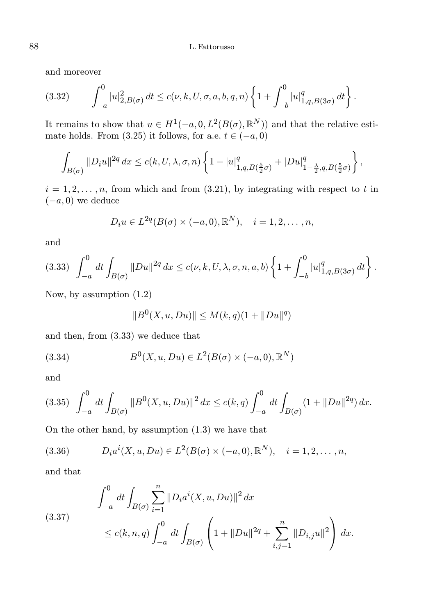and moreover

$$
(3.32) \qquad \int_{-a}^{0} |u|_{2,B(\sigma)}^2 \, dt \le c(\nu,k,U,\sigma,a,b,q,n) \left\{ 1 + \int_{-b}^{0} |u|_{1,q,B(3\sigma)}^q \, dt \right\}.
$$

It remains to show that  $u \in H^1(-a, 0, L^2(B(\sigma), \mathbb{R}^N))$  and that the relative estimate holds. From  $(3.25)$  it follows, for a.e.  $t \in (-a, 0)$ 

$$
\int_{B(\sigma)} \|D_i u\|^{2q} dx \le c(k, U, \lambda, \sigma, n) \left\{ 1 + |u|_{1,q,B(\frac{5}{2}\sigma)}^q + |Du|_{1-\frac{\lambda}{2},q,B(\frac{5}{2}\sigma)}^q \right\},\,
$$

 $i = 1, 2, \ldots, n$ , from which and from (3.21), by integrating with respect to t in  $(-a, 0)$  we deduce

$$
D_i u \in L^{2q}(B(\sigma) \times (-a,0), \mathbb{R}^N), \quad i=1,2,\ldots,n,
$$

and

$$
(3.33) \quad \int_{-a}^{0} dt \int_{B(\sigma)} ||Du||^{2q} dx \le c(\nu, k, U, \lambda, \sigma, n, a, b) \left\{ 1 + \int_{-b}^{0} |u|_{1,q, B(3\sigma)}^{q} dt \right\}.
$$

Now, by assumption (1.2)

$$
||B^{0}(X, u, Du)|| \leq M(k, q)(1 + ||Du||^{q})
$$

and then, from (3.33) we deduce that

(3.34) 
$$
B^{0}(X, u, Du) \in L^{2}(B(\sigma) \times (-a, 0), \mathbb{R}^{N})
$$

and

$$
(3.35)\quad \int_{-a}^{0} dt \int_{B(\sigma)} \|B^{0}(X, u, Du)\|^{2} dx \le c(k, q) \int_{-a}^{0} dt \int_{B(\sigma)} (1 + \|Du\|^{2q}) dx.
$$

On the other hand, by assumption (1.3) we have that

(3.36) 
$$
D_i a^i(X, u, Du) \in L^2(B(\sigma) \times (-a, 0), \mathbb{R}^N), \quad i = 1, 2, ..., n,
$$

and that

$$
\int_{-a}^{0} dt \int_{B(\sigma)} \sum_{i=1}^{n} \|D_i a^i(X, u, Du)\|^2 dx
$$
\n(3.37)\n
$$
\leq c(k, n, q) \int_{-a}^{0} dt \int_{B(\sigma)} \left(1 + \|Du\|^{2q} + \sum_{i,j=1}^{n} \|D_{i,j} u\|^2\right) dx.
$$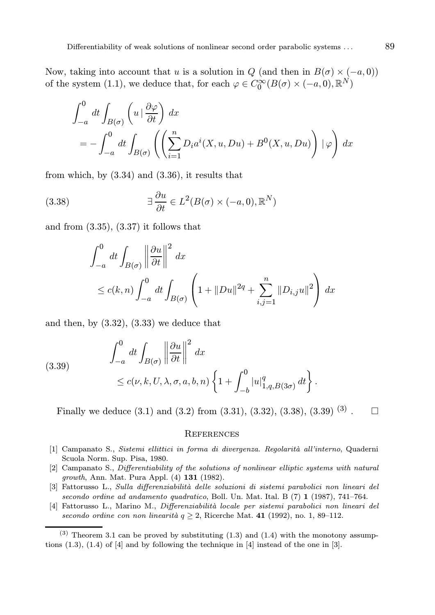Now, taking into account that u is a solution in  $Q$  (and then in  $B(\sigma) \times (-a, 0)$ ) of the system (1.1), we deduce that, for each  $\varphi \in C_0^{\infty}(B(\sigma) \times (-a,0), \mathbb{R}^N)$ 

$$
\int_{-a}^{0} dt \int_{B(\sigma)} \left( u \mid \frac{\partial \varphi}{\partial t} \right) dx
$$
  
= 
$$
- \int_{-a}^{0} dt \int_{B(\sigma)} \left( \left( \sum_{i=1}^{n} D_i a^i(X, u, Du) + B^0(X, u, Du) \right) \mid \varphi \right) dx
$$

from which, by (3.34) and (3.36), it results that

(3.38) 
$$
\exists \frac{\partial u}{\partial t} \in L^2(B(\sigma) \times (-a, 0), \mathbb{R}^N)
$$

and from  $(3.35)$ ,  $(3.37)$  it follows that

$$
\int_{-a}^{0} dt \int_{B(\sigma)} \left\| \frac{\partial u}{\partial t} \right\|^2 dx
$$
  
\n
$$
\leq c(k,n) \int_{-a}^{0} dt \int_{B(\sigma)} \left( 1 + ||Du||^{2q} + \sum_{i,j=1}^{n} ||D_{i,j}u||^2 \right) dx
$$

and then, by  $(3.32)$ ,  $(3.33)$  we deduce that

(3.39) 
$$
\int_{-a}^{0} dt \int_{B(\sigma)} \left\| \frac{\partial u}{\partial t} \right\|^2 dx
$$
  
 
$$
\leq c(\nu, k, U, \lambda, \sigma, a, b, n) \left\{ 1 + \int_{-b}^{0} |u|_{1,q, B(3\sigma)}^q dt \right\}.
$$

Finally we deduce  $(3.1)$  and  $(3.2)$  from  $(3.31)$ ,  $(3.32)$ ,  $(3.38)$ ,  $(3.39)$   $(3)$ .  $\Box$ 

#### **REFERENCES**

- [1] Campanato S., Sistemi ellittici in forma di divergenza. Regolarità all'interno, Quaderni Scuola Norm. Sup. Pisa, 1980.
- [2] Campanato S., Differentiability of the solutions of nonlinear elliptic systems with natural growth, Ann. Mat. Pura Appl. (4) 131 (1982).
- [3] Fattorusso L., Sulla differenziabilità delle soluzioni di sistemi parabolici non lineari del secondo ordine ad andamento quadratico, Boll. Un. Mat. Ital. B (7) 1 (1987), 741–764.
- [4] Fattorusso L., Marino M., Differenziabilità locale per sistemi parabolici non lineari del secondo ordine con non linearità  $q \geq 2$ , Ricerche Mat. 41 (1992), no. 1, 89–112.

<sup>(3)</sup> Theorem 3.1 can be proved by substituting  $(1.3)$  and  $(1.4)$  with the monotony assumptions  $(1.3)$ ,  $(1.4)$  of  $[4]$  and by following the technique in  $[4]$  instead of the one in  $[3]$ .